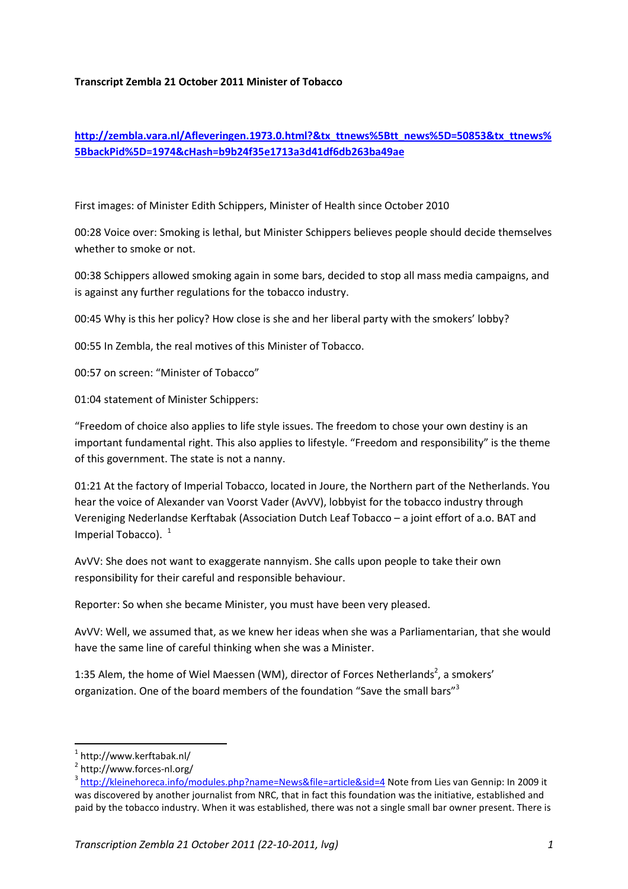### **Transcript Zembla 21 October 2011 Minister of Tobacco**

# **http://zembla.vara.nl/Afleveringen.1973.0.html?&tx\_ttnews%5Btt\_news%5D=50853&tx\_ttnews% 5BbackPid%5D=1974&cHash=b9b24f35e1713a3d41df6db263ba49ae**

First images: of Minister Edith Schippers, Minister of Health since October 2010

00:28 Voice over: Smoking is lethal, but Minister Schippers believes people should decide themselves whether to smoke or not.

00:38 Schippers allowed smoking again in some bars, decided to stop all mass media campaigns, and is against any further regulations for the tobacco industry.

00:45 Why is this her policy? How close is she and her liberal party with the smokers' lobby?

00:55 In Zembla, the real motives of this Minister of Tobacco.

00:57 on screen: "Minister of Tobacco"

01:04 statement of Minister Schippers:

"Freedom of choice also applies to life style issues. The freedom to chose your own destiny is an important fundamental right. This also applies to lifestyle. "Freedom and responsibility" is the theme of this government. The state is not a nanny.

01:21 At the factory of Imperial Tobacco, located in Joure, the Northern part of the Netherlands. You hear the voice of Alexander van Voorst Vader (AvVV), lobbyist for the tobacco industry through Vereniging Nederlandse Kerftabak (Association Dutch Leaf Tobacco – a joint effort of a.o. BAT and Imperial Tobacco).  $1$ 

AvVV: She does not want to exaggerate nannyism. She calls upon people to take their own responsibility for their careful and responsible behaviour.

Reporter: So when she became Minister, you must have been very pleased.

AvVV: Well, we assumed that, as we knew her ideas when she was a Parliamentarian, that she would have the same line of careful thinking when she was a Minister.

1:35 Alem, the home of Wiel Maessen (WM), director of Forces Netherlands<sup>2</sup>, a smokers' organization. One of the board members of the foundation "Save the small bars"<sup>3</sup>

l

<sup>1</sup> http://www.kerftabak.nl/

<sup>&</sup>lt;sup>2</sup> http://www.forces-nl.org/

<sup>&</sup>lt;sup>3</sup> http://kleinehoreca.info/modules.php?name=News&file=article&sid=4 Note from Lies van Gennip: In 2009 it was discovered by another journalist from NRC, that in fact this foundation was the initiative, established and paid by the tobacco industry. When it was established, there was not a single small bar owner present. There is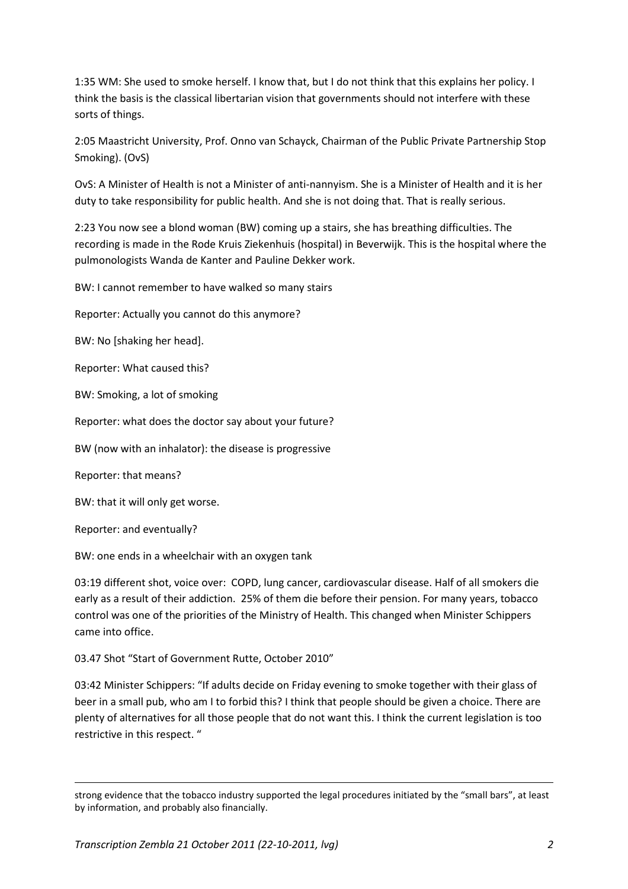1:35 WM: She used to smoke herself. I know that, but I do not think that this explains her policy. I think the basis is the classical libertarian vision that governments should not interfere with these sorts of things.

2:05 Maastricht University, Prof. Onno van Schayck, Chairman of the Public Private Partnership Stop Smoking). (OvS)

OvS: A Minister of Health is not a Minister of anti-nannyism. She is a Minister of Health and it is her duty to take responsibility for public health. And she is not doing that. That is really serious.

2:23 You now see a blond woman (BW) coming up a stairs, she has breathing difficulties. The recording is made in the Rode Kruis Ziekenhuis (hospital) in Beverwijk. This is the hospital where the pulmonologists Wanda de Kanter and Pauline Dekker work.

BW: I cannot remember to have walked so many stairs

Reporter: Actually you cannot do this anymore?

BW: No [shaking her head].

Reporter: What caused this?

BW: Smoking, a lot of smoking

Reporter: what does the doctor say about your future?

BW (now with an inhalator): the disease is progressive

Reporter: that means?

BW: that it will only get worse.

Reporter: and eventually?

-

BW: one ends in a wheelchair with an oxygen tank

03:19 different shot, voice over: COPD, lung cancer, cardiovascular disease. Half of all smokers die early as a result of their addiction. 25% of them die before their pension. For many years, tobacco control was one of the priorities of the Ministry of Health. This changed when Minister Schippers came into office.

03.47 Shot "Start of Government Rutte, October 2010"

03:42 Minister Schippers: "If adults decide on Friday evening to smoke together with their glass of beer in a small pub, who am I to forbid this? I think that people should be given a choice. There are plenty of alternatives for all those people that do not want this. I think the current legislation is too restrictive in this respect. "

strong evidence that the tobacco industry supported the legal procedures initiated by the "small bars", at least by information, and probably also financially.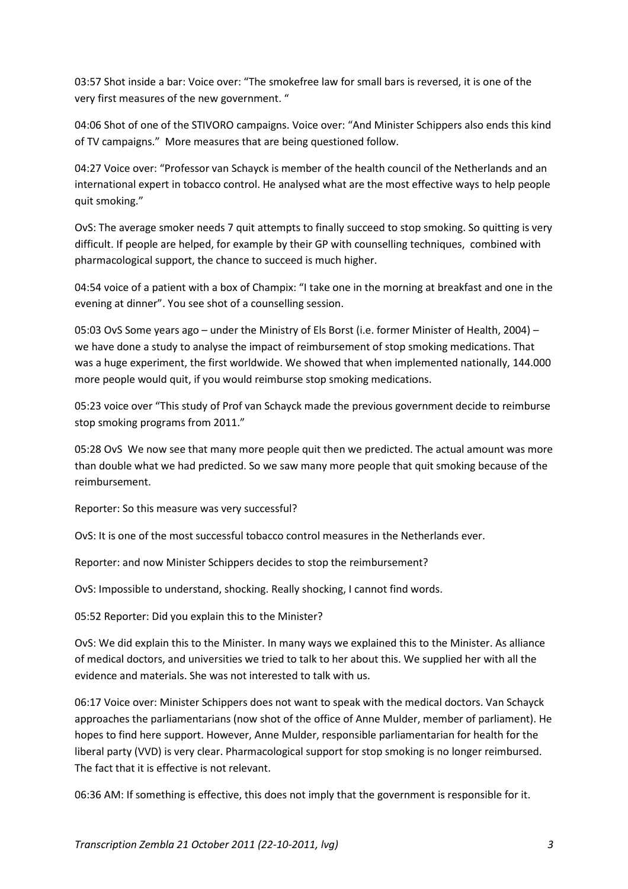03:57 Shot inside a bar: Voice over: "The smokefree law for small bars is reversed, it is one of the very first measures of the new government. "

04:06 Shot of one of the STIVORO campaigns. Voice over: "And Minister Schippers also ends this kind of TV campaigns." More measures that are being questioned follow.

04:27 Voice over: "Professor van Schayck is member of the health council of the Netherlands and an international expert in tobacco control. He analysed what are the most effective ways to help people quit smoking."

OvS: The average smoker needs 7 quit attempts to finally succeed to stop smoking. So quitting is very difficult. If people are helped, for example by their GP with counselling techniques, combined with pharmacological support, the chance to succeed is much higher.

04:54 voice of a patient with a box of Champix: "I take one in the morning at breakfast and one in the evening at dinner". You see shot of a counselling session.

05:03 OvS Some years ago – under the Ministry of Els Borst (i.e. former Minister of Health, 2004) – we have done a study to analyse the impact of reimbursement of stop smoking medications. That was a huge experiment, the first worldwide. We showed that when implemented nationally, 144.000 more people would quit, if you would reimburse stop smoking medications.

05:23 voice over "This study of Prof van Schayck made the previous government decide to reimburse stop smoking programs from 2011."

05:28 OvS We now see that many more people quit then we predicted. The actual amount was more than double what we had predicted. So we saw many more people that quit smoking because of the reimbursement.

Reporter: So this measure was very successful?

OvS: It is one of the most successful tobacco control measures in the Netherlands ever.

Reporter: and now Minister Schippers decides to stop the reimbursement?

OvS: Impossible to understand, shocking. Really shocking, I cannot find words.

05:52 Reporter: Did you explain this to the Minister?

OvS: We did explain this to the Minister. In many ways we explained this to the Minister. As alliance of medical doctors, and universities we tried to talk to her about this. We supplied her with all the evidence and materials. She was not interested to talk with us.

06:17 Voice over: Minister Schippers does not want to speak with the medical doctors. Van Schayck approaches the parliamentarians (now shot of the office of Anne Mulder, member of parliament). He hopes to find here support. However, Anne Mulder, responsible parliamentarian for health for the liberal party (VVD) is very clear. Pharmacological support for stop smoking is no longer reimbursed. The fact that it is effective is not relevant.

06:36 AM: If something is effective, this does not imply that the government is responsible for it.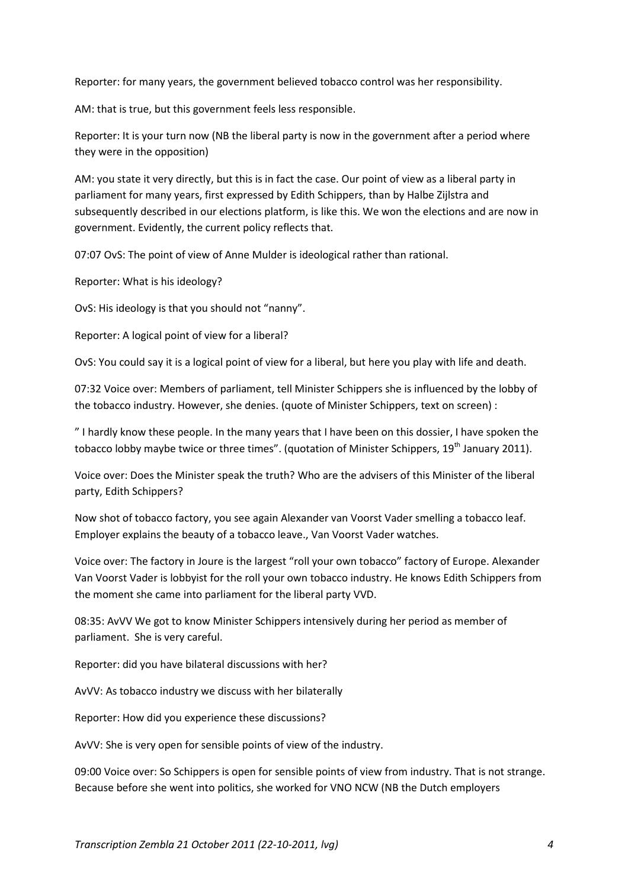Reporter: for many years, the government believed tobacco control was her responsibility.

AM: that is true, but this government feels less responsible.

Reporter: It is your turn now (NB the liberal party is now in the government after a period where they were in the opposition)

AM: you state it very directly, but this is in fact the case. Our point of view as a liberal party in parliament for many years, first expressed by Edith Schippers, than by Halbe Zijlstra and subsequently described in our elections platform, is like this. We won the elections and are now in government. Evidently, the current policy reflects that.

07:07 OvS: The point of view of Anne Mulder is ideological rather than rational.

Reporter: What is his ideology?

OvS: His ideology is that you should not "nanny".

Reporter: A logical point of view for a liberal?

OvS: You could say it is a logical point of view for a liberal, but here you play with life and death.

07:32 Voice over: Members of parliament, tell Minister Schippers she is influenced by the lobby of the tobacco industry. However, she denies. (quote of Minister Schippers, text on screen) :

" I hardly know these people. In the many years that I have been on this dossier, I have spoken the tobacco lobby maybe twice or three times". (quotation of Minister Schippers,  $19<sup>th</sup>$  January 2011).

Voice over: Does the Minister speak the truth? Who are the advisers of this Minister of the liberal party, Edith Schippers?

Now shot of tobacco factory, you see again Alexander van Voorst Vader smelling a tobacco leaf. Employer explains the beauty of a tobacco leave., Van Voorst Vader watches.

Voice over: The factory in Joure is the largest "roll your own tobacco" factory of Europe. Alexander Van Voorst Vader is lobbyist for the roll your own tobacco industry. He knows Edith Schippers from the moment she came into parliament for the liberal party VVD.

08:35: AvVV We got to know Minister Schippers intensively during her period as member of parliament. She is very careful.

Reporter: did you have bilateral discussions with her?

AvVV: As tobacco industry we discuss with her bilaterally

Reporter: How did you experience these discussions?

AvVV: She is very open for sensible points of view of the industry.

09:00 Voice over: So Schippers is open for sensible points of view from industry. That is not strange. Because before she went into politics, she worked for VNO NCW (NB the Dutch employers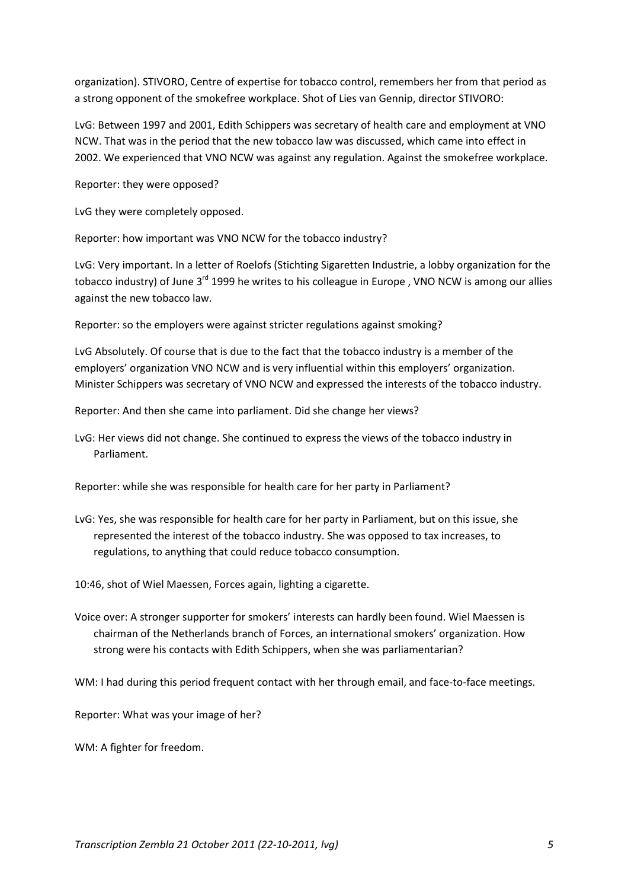organization). STIVORO, Centre of expertise for tobacco control, remembers her from that period as a strong opponent of the smokefree workplace. Shot of Lies van Gennip, director STIVORO:

LvG: Between 1997 and 2001, Edith Schippers was secretary of health care and employment at VNO NCW. That was in the period that the new tobacco law was discussed, which came into effect in 2002. We experienced that VNO NCW was against any regulation. Against the smokefree workplace.

Reporter: they were opposed?

LvG they were completely opposed.

Reporter: how important was VNO NCW for the tobacco industry?

LvG: Very important. In a letter of Roelofs (Stichting Sigaretten Industrie, a lobby organization for the tobacco industry) of June  $3<sup>rd</sup>$  1999 he writes to his colleague in Europe, VNO NCW is among our allies against the new tobacco law.

Reporter: so the employers were against stricter regulations against smoking?

LvG Absolutely. Of course that is due to the fact that the tobacco industry is a member of the employers' organization VNO NCW and is very influential within this employers' organization. Minister Schippers was secretary of VNO NCW and expressed the interests of the tobacco industry.

Reporter: And then she came into parliament. Did she change her views?

LvG: Her views did not change. She continued to express the views of the tobacco industry in Parliament.

Reporter: while she was responsible for health care for her party in Parliament?

LvG: Yes, she was responsible for health care for her party in Parliament, but on this issue, she represented the interest of the tobacco industry. She was opposed to tax increases, to regulations, to anything that could reduce tobacco consumption.

10:46, shot of Wiel Maessen, Forces again, lighting a cigarette.

Voice over: A stronger supporter for smokers' interests can hardly been found. Wiel Maessen is chairman of the Netherlands branch of Forces, an international smokers' organization. How strong were his contacts with Edith Schippers, when she was parliamentarian?

WM: I had during this period frequent contact with her through email, and face-to-face meetings.

Reporter: What was your image of her?

WM: A fighter for freedom.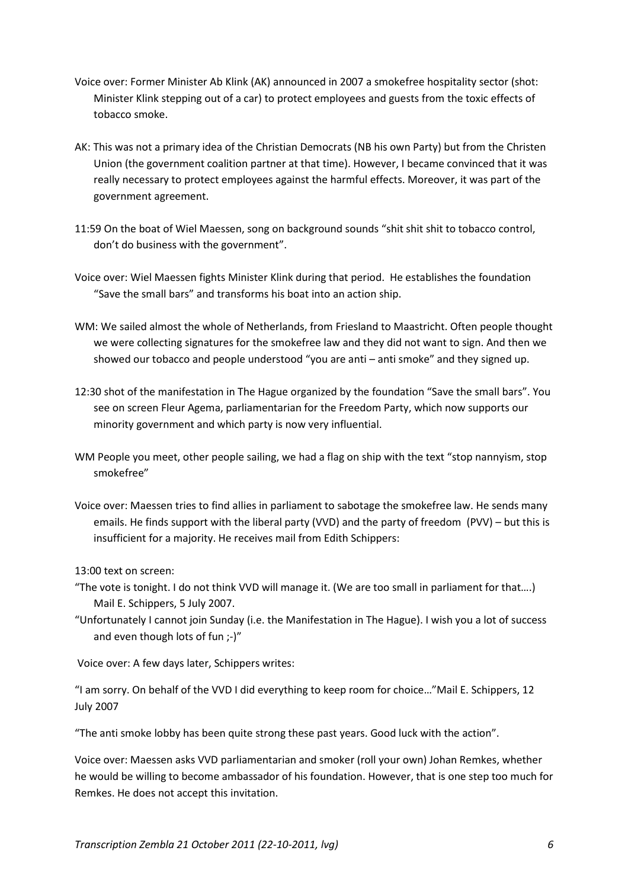- Voice over: Former Minister Ab Klink (AK) announced in 2007 a smokefree hospitality sector (shot: Minister Klink stepping out of a car) to protect employees and guests from the toxic effects of tobacco smoke.
- AK: This was not a primary idea of the Christian Democrats (NB his own Party) but from the Christen Union (the government coalition partner at that time). However, I became convinced that it was really necessary to protect employees against the harmful effects. Moreover, it was part of the government agreement.
- 11:59 On the boat of Wiel Maessen, song on background sounds "shit shit shit to tobacco control, don't do business with the government".
- Voice over: Wiel Maessen fights Minister Klink during that period. He establishes the foundation "Save the small bars" and transforms his boat into an action ship.
- WM: We sailed almost the whole of Netherlands, from Friesland to Maastricht. Often people thought we were collecting signatures for the smokefree law and they did not want to sign. And then we showed our tobacco and people understood "you are anti – anti smoke" and they signed up.
- 12:30 shot of the manifestation in The Hague organized by the foundation "Save the small bars". You see on screen Fleur Agema, parliamentarian for the Freedom Party, which now supports our minority government and which party is now very influential.
- WM People you meet, other people sailing, we had a flag on ship with the text "stop nannyism, stop smokefree"
- Voice over: Maessen tries to find allies in parliament to sabotage the smokefree law. He sends many emails. He finds support with the liberal party (VVD) and the party of freedom (PVV) – but this is insufficient for a majority. He receives mail from Edith Schippers:

13:00 text on screen:

- "The vote is tonight. I do not think VVD will manage it. (We are too small in parliament for that….) Mail E. Schippers, 5 July 2007.
- "Unfortunately I cannot join Sunday (i.e. the Manifestation in The Hague). I wish you a lot of success and even though lots of fun ;-)"

Voice over: A few days later, Schippers writes:

"I am sorry. On behalf of the VVD I did everything to keep room for choice…"Mail E. Schippers, 12 July 2007

"The anti smoke lobby has been quite strong these past years. Good luck with the action".

Voice over: Maessen asks VVD parliamentarian and smoker (roll your own) Johan Remkes, whether he would be willing to become ambassador of his foundation. However, that is one step too much for Remkes. He does not accept this invitation.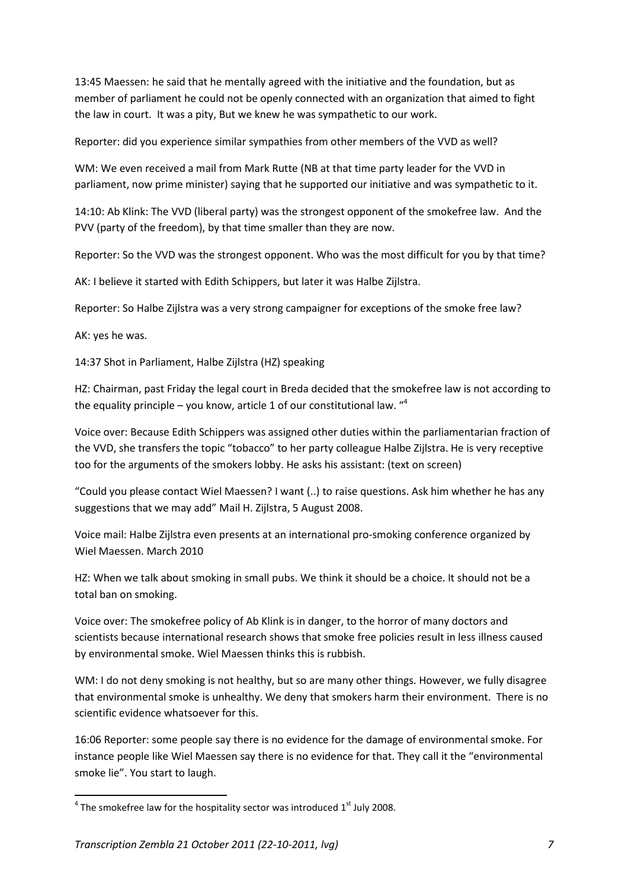13:45 Maessen: he said that he mentally agreed with the initiative and the foundation, but as member of parliament he could not be openly connected with an organization that aimed to fight the law in court. It was a pity, But we knew he was sympathetic to our work.

Reporter: did you experience similar sympathies from other members of the VVD as well?

WM: We even received a mail from Mark Rutte (NB at that time party leader for the VVD in parliament, now prime minister) saying that he supported our initiative and was sympathetic to it.

14:10: Ab Klink: The VVD (liberal party) was the strongest opponent of the smokefree law. And the PVV (party of the freedom), by that time smaller than they are now.

Reporter: So the VVD was the strongest opponent. Who was the most difficult for you by that time?

AK: I believe it started with Edith Schippers, but later it was Halbe Zijlstra.

Reporter: So Halbe Zijlstra was a very strong campaigner for exceptions of the smoke free law?

AK: yes he was.

14:37 Shot in Parliament, Halbe Zijlstra (HZ) speaking

HZ: Chairman, past Friday the legal court in Breda decided that the smokefree law is not according to the equality principle – you know, article 1 of our constitutional law.  $44$ 

Voice over: Because Edith Schippers was assigned other duties within the parliamentarian fraction of the VVD, she transfers the topic "tobacco" to her party colleague Halbe Zijlstra. He is very receptive too for the arguments of the smokers lobby. He asks his assistant: (text on screen)

"Could you please contact Wiel Maessen? I want (..) to raise questions. Ask him whether he has any suggestions that we may add" Mail H. Zijlstra, 5 August 2008.

Voice mail: Halbe Zijlstra even presents at an international pro-smoking conference organized by Wiel Maessen. March 2010

HZ: When we talk about smoking in small pubs. We think it should be a choice. It should not be a total ban on smoking.

Voice over: The smokefree policy of Ab Klink is in danger, to the horror of many doctors and scientists because international research shows that smoke free policies result in less illness caused by environmental smoke. Wiel Maessen thinks this is rubbish.

WM: I do not deny smoking is not healthy, but so are many other things. However, we fully disagree that environmental smoke is unhealthy. We deny that smokers harm their environment. There is no scientific evidence whatsoever for this.

16:06 Reporter: some people say there is no evidence for the damage of environmental smoke. For instance people like Wiel Maessen say there is no evidence for that. They call it the "environmental smoke lie". You start to laugh.

 $^4$  The smokefree law for the hospitality sector was introduced  $1^{\text{st}}$  July 2008.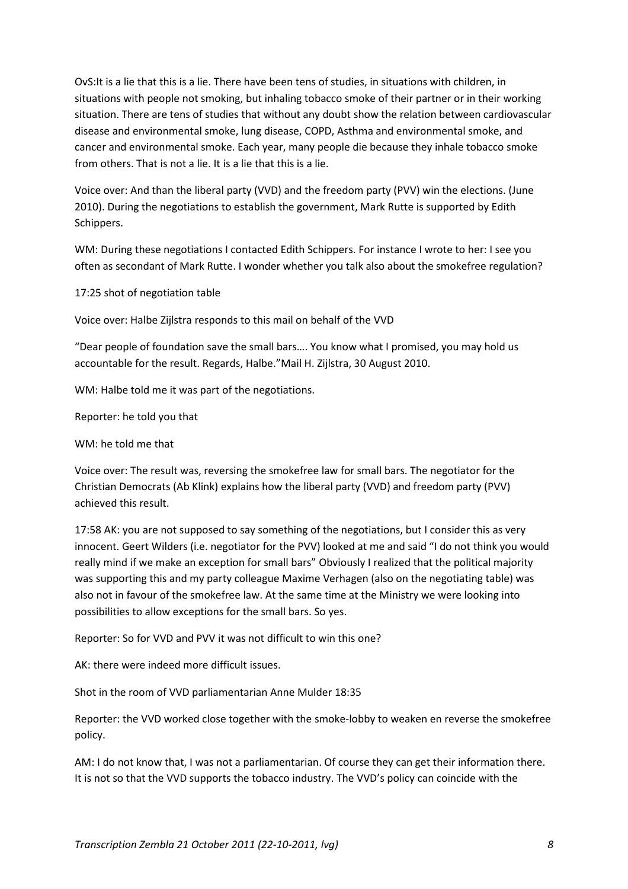OvS:It is a lie that this is a lie. There have been tens of studies, in situations with children, in situations with people not smoking, but inhaling tobacco smoke of their partner or in their working situation. There are tens of studies that without any doubt show the relation between cardiovascular disease and environmental smoke, lung disease, COPD, Asthma and environmental smoke, and cancer and environmental smoke. Each year, many people die because they inhale tobacco smoke from others. That is not a lie. It is a lie that this is a lie.

Voice over: And than the liberal party (VVD) and the freedom party (PVV) win the elections. (June 2010). During the negotiations to establish the government, Mark Rutte is supported by Edith Schippers.

WM: During these negotiations I contacted Edith Schippers. For instance I wrote to her: I see you often as secondant of Mark Rutte. I wonder whether you talk also about the smokefree regulation?

17:25 shot of negotiation table

Voice over: Halbe Zijlstra responds to this mail on behalf of the VVD

"Dear people of foundation save the small bars…. You know what I promised, you may hold us accountable for the result. Regards, Halbe."Mail H. Zijlstra, 30 August 2010.

WM: Halbe told me it was part of the negotiations.

Reporter: he told you that

WM: he told me that

Voice over: The result was, reversing the smokefree law for small bars. The negotiator for the Christian Democrats (Ab Klink) explains how the liberal party (VVD) and freedom party (PVV) achieved this result.

17:58 AK: you are not supposed to say something of the negotiations, but I consider this as very innocent. Geert Wilders (i.e. negotiator for the PVV) looked at me and said "I do not think you would really mind if we make an exception for small bars" Obviously I realized that the political majority was supporting this and my party colleague Maxime Verhagen (also on the negotiating table) was also not in favour of the smokefree law. At the same time at the Ministry we were looking into possibilities to allow exceptions for the small bars. So yes.

Reporter: So for VVD and PVV it was not difficult to win this one?

AK: there were indeed more difficult issues.

Shot in the room of VVD parliamentarian Anne Mulder 18:35

Reporter: the VVD worked close together with the smoke-lobby to weaken en reverse the smokefree policy.

AM: I do not know that, I was not a parliamentarian. Of course they can get their information there. It is not so that the VVD supports the tobacco industry. The VVD's policy can coincide with the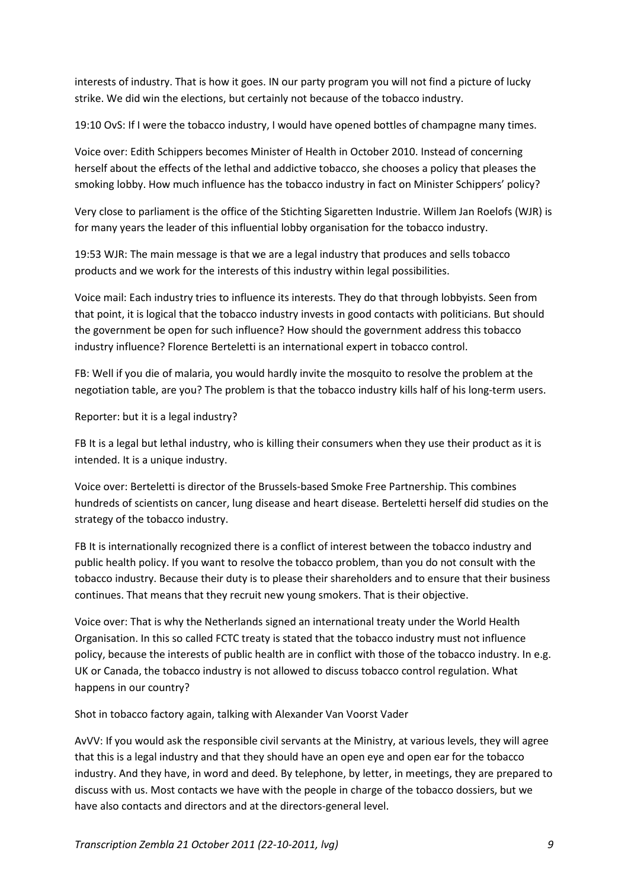interests of industry. That is how it goes. IN our party program you will not find a picture of lucky strike. We did win the elections, but certainly not because of the tobacco industry.

19:10 OvS: If I were the tobacco industry, I would have opened bottles of champagne many times.

Voice over: Edith Schippers becomes Minister of Health in October 2010. Instead of concerning herself about the effects of the lethal and addictive tobacco, she chooses a policy that pleases the smoking lobby. How much influence has the tobacco industry in fact on Minister Schippers' policy?

Very close to parliament is the office of the Stichting Sigaretten Industrie. Willem Jan Roelofs (WJR) is for many years the leader of this influential lobby organisation for the tobacco industry.

19:53 WJR: The main message is that we are a legal industry that produces and sells tobacco products and we work for the interests of this industry within legal possibilities.

Voice mail: Each industry tries to influence its interests. They do that through lobbyists. Seen from that point, it is logical that the tobacco industry invests in good contacts with politicians. But should the government be open for such influence? How should the government address this tobacco industry influence? Florence Berteletti is an international expert in tobacco control.

FB: Well if you die of malaria, you would hardly invite the mosquito to resolve the problem at the negotiation table, are you? The problem is that the tobacco industry kills half of his long-term users.

Reporter: but it is a legal industry?

FB It is a legal but lethal industry, who is killing their consumers when they use their product as it is intended. It is a unique industry.

Voice over: Berteletti is director of the Brussels-based Smoke Free Partnership. This combines hundreds of scientists on cancer, lung disease and heart disease. Berteletti herself did studies on the strategy of the tobacco industry.

FB It is internationally recognized there is a conflict of interest between the tobacco industry and public health policy. If you want to resolve the tobacco problem, than you do not consult with the tobacco industry. Because their duty is to please their shareholders and to ensure that their business continues. That means that they recruit new young smokers. That is their objective.

Voice over: That is why the Netherlands signed an international treaty under the World Health Organisation. In this so called FCTC treaty is stated that the tobacco industry must not influence policy, because the interests of public health are in conflict with those of the tobacco industry. In e.g. UK or Canada, the tobacco industry is not allowed to discuss tobacco control regulation. What happens in our country?

Shot in tobacco factory again, talking with Alexander Van Voorst Vader

AvVV: If you would ask the responsible civil servants at the Ministry, at various levels, they will agree that this is a legal industry and that they should have an open eye and open ear for the tobacco industry. And they have, in word and deed. By telephone, by letter, in meetings, they are prepared to discuss with us. Most contacts we have with the people in charge of the tobacco dossiers, but we have also contacts and directors and at the directors-general level.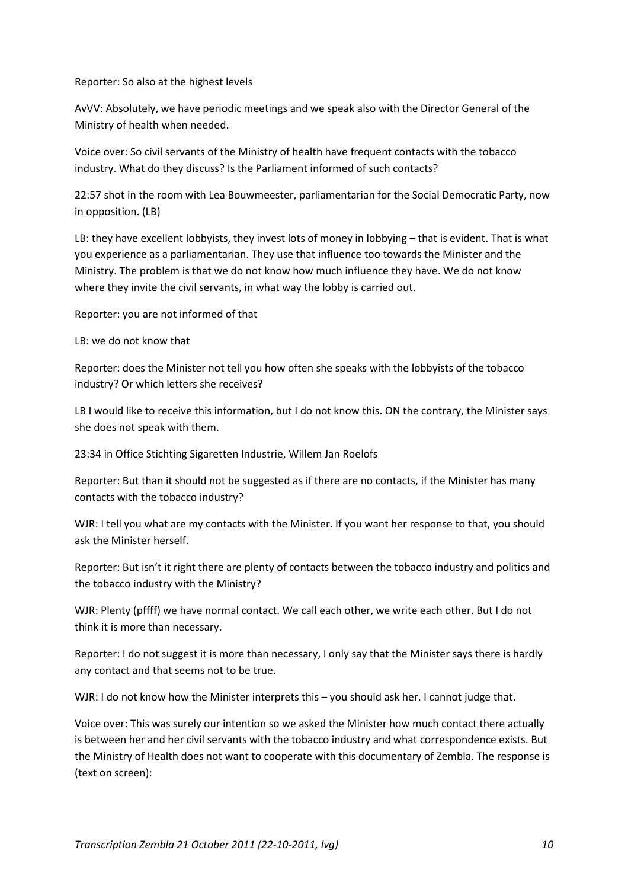### Reporter: So also at the highest levels

AvVV: Absolutely, we have periodic meetings and we speak also with the Director General of the Ministry of health when needed.

Voice over: So civil servants of the Ministry of health have frequent contacts with the tobacco industry. What do they discuss? Is the Parliament informed of such contacts?

22:57 shot in the room with Lea Bouwmeester, parliamentarian for the Social Democratic Party, now in opposition. (LB)

LB: they have excellent lobbyists, they invest lots of money in lobbying – that is evident. That is what you experience as a parliamentarian. They use that influence too towards the Minister and the Ministry. The problem is that we do not know how much influence they have. We do not know where they invite the civil servants, in what way the lobby is carried out.

Reporter: you are not informed of that

LB: we do not know that

Reporter: does the Minister not tell you how often she speaks with the lobbyists of the tobacco industry? Or which letters she receives?

LB I would like to receive this information, but I do not know this. ON the contrary, the Minister says she does not speak with them.

23:34 in Office Stichting Sigaretten Industrie, Willem Jan Roelofs

Reporter: But than it should not be suggested as if there are no contacts, if the Minister has many contacts with the tobacco industry?

WJR: I tell you what are my contacts with the Minister. If you want her response to that, you should ask the Minister herself.

Reporter: But isn't it right there are plenty of contacts between the tobacco industry and politics and the tobacco industry with the Ministry?

WJR: Plenty (pffff) we have normal contact. We call each other, we write each other. But I do not think it is more than necessary.

Reporter: I do not suggest it is more than necessary, I only say that the Minister says there is hardly any contact and that seems not to be true.

WJR: I do not know how the Minister interprets this - you should ask her. I cannot judge that.

Voice over: This was surely our intention so we asked the Minister how much contact there actually is between her and her civil servants with the tobacco industry and what correspondence exists. But the Ministry of Health does not want to cooperate with this documentary of Zembla. The response is (text on screen):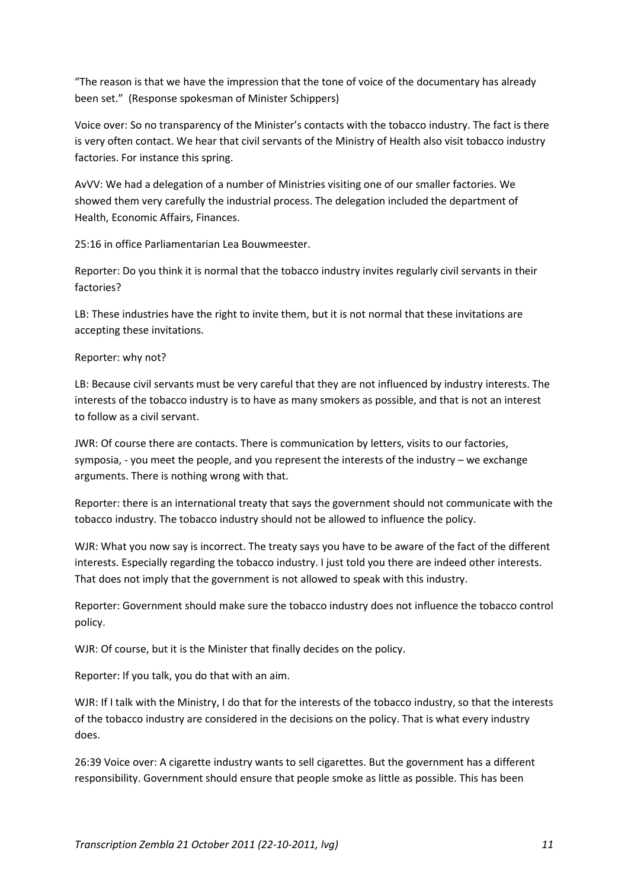"The reason is that we have the impression that the tone of voice of the documentary has already been set." (Response spokesman of Minister Schippers)

Voice over: So no transparency of the Minister's contacts with the tobacco industry. The fact is there is very often contact. We hear that civil servants of the Ministry of Health also visit tobacco industry factories. For instance this spring.

AvVV: We had a delegation of a number of Ministries visiting one of our smaller factories. We showed them very carefully the industrial process. The delegation included the department of Health, Economic Affairs, Finances.

25:16 in office Parliamentarian Lea Bouwmeester.

Reporter: Do you think it is normal that the tobacco industry invites regularly civil servants in their factories?

LB: These industries have the right to invite them, but it is not normal that these invitations are accepting these invitations.

### Reporter: why not?

LB: Because civil servants must be very careful that they are not influenced by industry interests. The interests of the tobacco industry is to have as many smokers as possible, and that is not an interest to follow as a civil servant.

JWR: Of course there are contacts. There is communication by letters, visits to our factories, symposia, - you meet the people, and you represent the interests of the industry – we exchange arguments. There is nothing wrong with that.

Reporter: there is an international treaty that says the government should not communicate with the tobacco industry. The tobacco industry should not be allowed to influence the policy.

WJR: What you now say is incorrect. The treaty says you have to be aware of the fact of the different interests. Especially regarding the tobacco industry. I just told you there are indeed other interests. That does not imply that the government is not allowed to speak with this industry.

Reporter: Government should make sure the tobacco industry does not influence the tobacco control policy.

WJR: Of course, but it is the Minister that finally decides on the policy.

Reporter: If you talk, you do that with an aim.

WJR: If I talk with the Ministry, I do that for the interests of the tobacco industry, so that the interests of the tobacco industry are considered in the decisions on the policy. That is what every industry does.

26:39 Voice over: A cigarette industry wants to sell cigarettes. But the government has a different responsibility. Government should ensure that people smoke as little as possible. This has been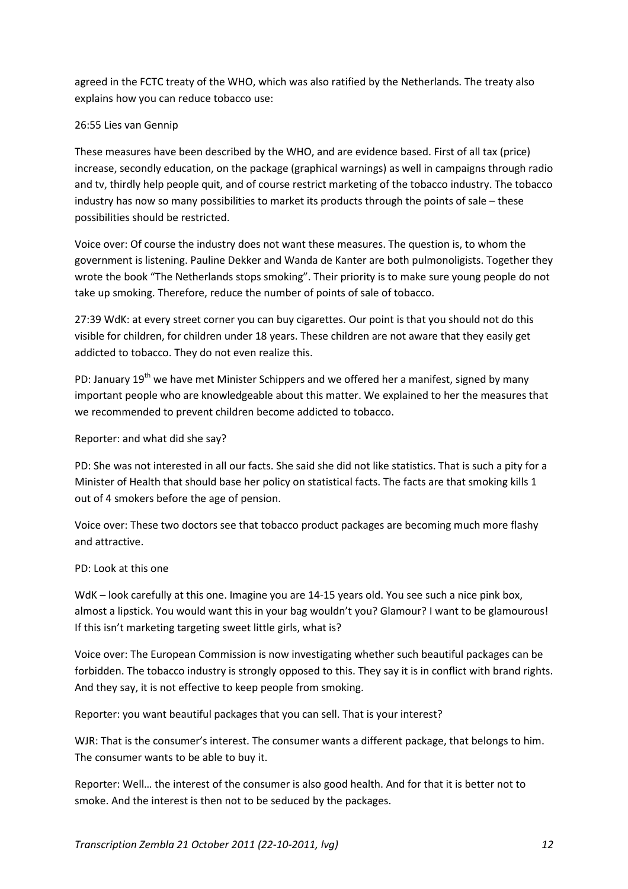agreed in the FCTC treaty of the WHO, which was also ratified by the Netherlands. The treaty also explains how you can reduce tobacco use:

# 26:55 Lies van Gennip

These measures have been described by the WHO, and are evidence based. First of all tax (price) increase, secondly education, on the package (graphical warnings) as well in campaigns through radio and tv, thirdly help people quit, and of course restrict marketing of the tobacco industry. The tobacco industry has now so many possibilities to market its products through the points of sale – these possibilities should be restricted.

Voice over: Of course the industry does not want these measures. The question is, to whom the government is listening. Pauline Dekker and Wanda de Kanter are both pulmonoligists. Together they wrote the book "The Netherlands stops smoking". Their priority is to make sure young people do not take up smoking. Therefore, reduce the number of points of sale of tobacco.

27:39 WdK: at every street corner you can buy cigarettes. Our point is that you should not do this visible for children, for children under 18 years. These children are not aware that they easily get addicted to tobacco. They do not even realize this.

PD: January  $19^{th}$  we have met Minister Schippers and we offered her a manifest, signed by many important people who are knowledgeable about this matter. We explained to her the measures that we recommended to prevent children become addicted to tobacco.

# Reporter: and what did she say?

PD: She was not interested in all our facts. She said she did not like statistics. That is such a pity for a Minister of Health that should base her policy on statistical facts. The facts are that smoking kills 1 out of 4 smokers before the age of pension.

Voice over: These two doctors see that tobacco product packages are becoming much more flashy and attractive.

# PD: Look at this one

WdK – look carefully at this one. Imagine you are 14-15 years old. You see such a nice pink box, almost a lipstick. You would want this in your bag wouldn't you? Glamour? I want to be glamourous! If this isn't marketing targeting sweet little girls, what is?

Voice over: The European Commission is now investigating whether such beautiful packages can be forbidden. The tobacco industry is strongly opposed to this. They say it is in conflict with brand rights. And they say, it is not effective to keep people from smoking.

Reporter: you want beautiful packages that you can sell. That is your interest?

WJR: That is the consumer's interest. The consumer wants a different package, that belongs to him. The consumer wants to be able to buy it.

Reporter: Well… the interest of the consumer is also good health. And for that it is better not to smoke. And the interest is then not to be seduced by the packages.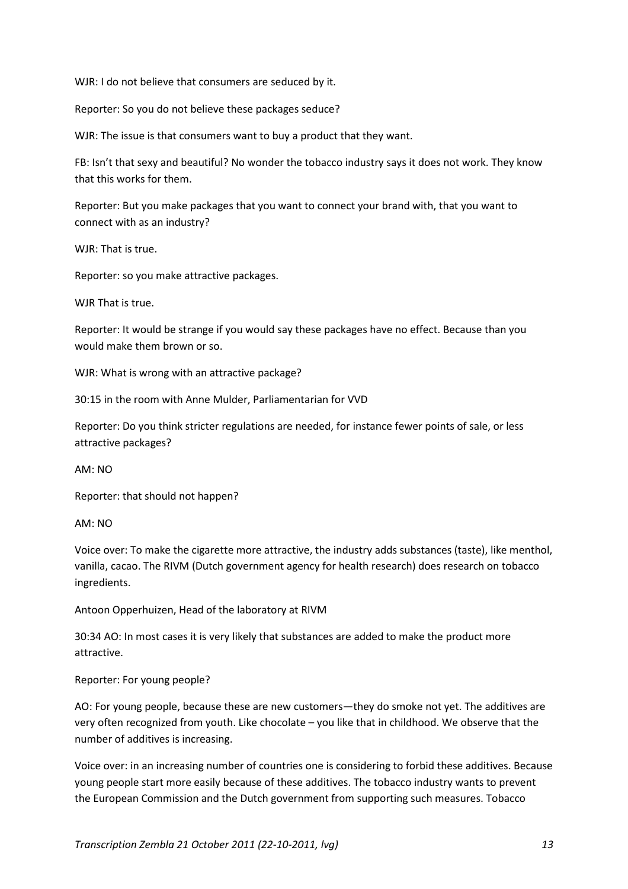WJR: I do not believe that consumers are seduced by it.

Reporter: So you do not believe these packages seduce?

WJR: The issue is that consumers want to buy a product that they want.

FB: Isn't that sexy and beautiful? No wonder the tobacco industry says it does not work. They know that this works for them.

Reporter: But you make packages that you want to connect your brand with, that you want to connect with as an industry?

WJR: That is true.

Reporter: so you make attractive packages.

WJR That is true.

Reporter: It would be strange if you would say these packages have no effect. Because than you would make them brown or so.

WJR: What is wrong with an attractive package?

30:15 in the room with Anne Mulder, Parliamentarian for VVD

Reporter: Do you think stricter regulations are needed, for instance fewer points of sale, or less attractive packages?

AM: NO

Reporter: that should not happen?

AM: NO

Voice over: To make the cigarette more attractive, the industry adds substances (taste), like menthol, vanilla, cacao. The RIVM (Dutch government agency for health research) does research on tobacco ingredients.

Antoon Opperhuizen, Head of the laboratory at RIVM

30:34 AO: In most cases it is very likely that substances are added to make the product more attractive.

Reporter: For young people?

AO: For young people, because these are new customers—they do smoke not yet. The additives are very often recognized from youth. Like chocolate – you like that in childhood. We observe that the number of additives is increasing.

Voice over: in an increasing number of countries one is considering to forbid these additives. Because young people start more easily because of these additives. The tobacco industry wants to prevent the European Commission and the Dutch government from supporting such measures. Tobacco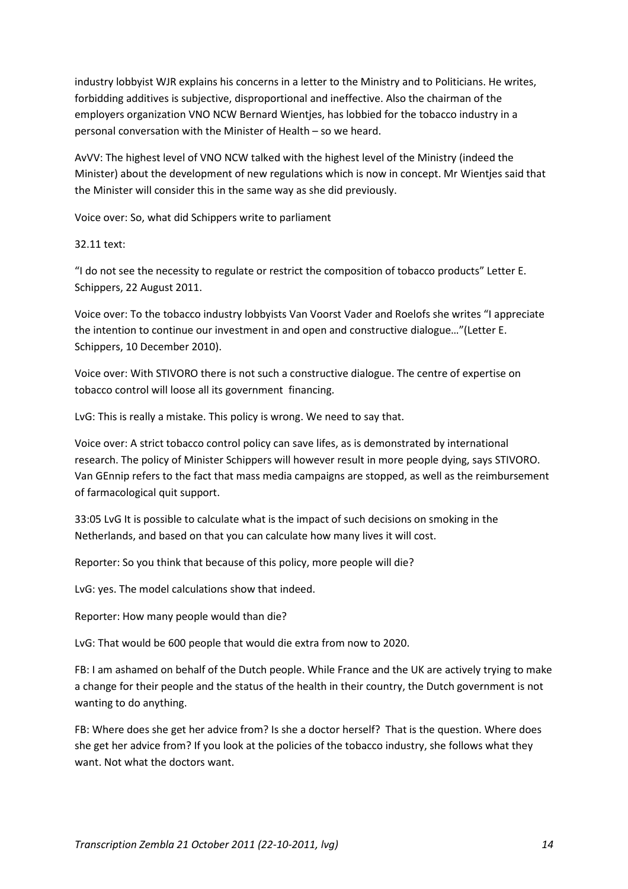industry lobbyist WJR explains his concerns in a letter to the Ministry and to Politicians. He writes, forbidding additives is subjective, disproportional and ineffective. Also the chairman of the employers organization VNO NCW Bernard Wientjes, has lobbied for the tobacco industry in a personal conversation with the Minister of Health – so we heard.

AvVV: The highest level of VNO NCW talked with the highest level of the Ministry (indeed the Minister) about the development of new regulations which is now in concept. Mr Wientjes said that the Minister will consider this in the same way as she did previously.

Voice over: So, what did Schippers write to parliament

32.11 text:

"I do not see the necessity to regulate or restrict the composition of tobacco products" Letter E. Schippers, 22 August 2011.

Voice over: To the tobacco industry lobbyists Van Voorst Vader and Roelofs she writes "I appreciate the intention to continue our investment in and open and constructive dialogue…"(Letter E. Schippers, 10 December 2010).

Voice over: With STIVORO there is not such a constructive dialogue. The centre of expertise on tobacco control will loose all its government financing.

LvG: This is really a mistake. This policy is wrong. We need to say that.

Voice over: A strict tobacco control policy can save lifes, as is demonstrated by international research. The policy of Minister Schippers will however result in more people dying, says STIVORO. Van GEnnip refers to the fact that mass media campaigns are stopped, as well as the reimbursement of farmacological quit support.

33:05 LvG It is possible to calculate what is the impact of such decisions on smoking in the Netherlands, and based on that you can calculate how many lives it will cost.

Reporter: So you think that because of this policy, more people will die?

LvG: yes. The model calculations show that indeed.

Reporter: How many people would than die?

LvG: That would be 600 people that would die extra from now to 2020.

FB: I am ashamed on behalf of the Dutch people. While France and the UK are actively trying to make a change for their people and the status of the health in their country, the Dutch government is not wanting to do anything.

FB: Where does she get her advice from? Is she a doctor herself? That is the question. Where does she get her advice from? If you look at the policies of the tobacco industry, she follows what they want. Not what the doctors want.